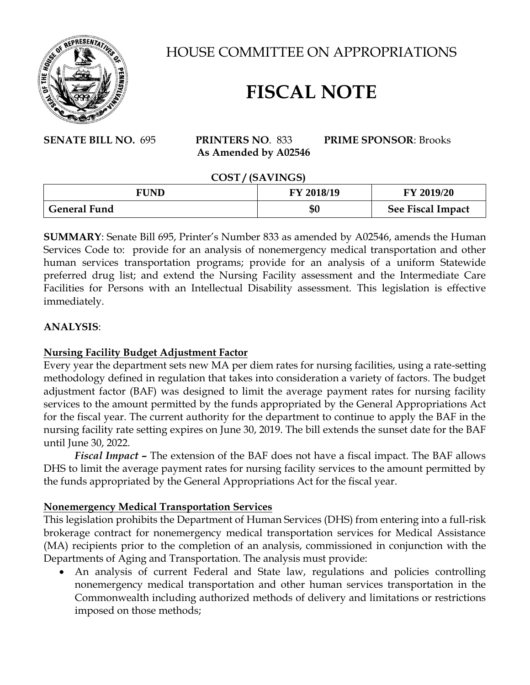

HOUSE COMMITTEE ON APPROPRIATIONS

# **FISCAL NOTE**

**SENATE BILL NO.** 695 **PRINTERS NO**. 833 **PRIME SPONSOR**: Brooks  **As Amended by A02546**

 **COST / (SAVINGS)**

| -----<br>.          |            |                          |
|---------------------|------------|--------------------------|
| FUND                | FY 2018/19 | FY 2019/20               |
| <b>General Fund</b> | \$0        | <b>See Fiscal Impact</b> |

**SUMMARY**: Senate Bill 695, Printer's Number 833 as amended by A02546, amends the Human Services Code to: provide for an analysis of nonemergency medical transportation and other human services transportation programs; provide for an analysis of a uniform Statewide preferred drug list; and extend the Nursing Facility assessment and the Intermediate Care Facilities for Persons with an Intellectual Disability assessment. This legislation is effective immediately.

### **ANALYSIS**:

# **Nursing Facility Budget Adjustment Factor**

Every year the department sets new MA per diem rates for nursing facilities, using a rate-setting methodology defined in regulation that takes into consideration a variety of factors. The budget adjustment factor (BAF) was designed to limit the average payment rates for nursing facility services to the amount permitted by the funds appropriated by the General Appropriations Act for the fiscal year. The current authority for the department to continue to apply the BAF in the nursing facility rate setting expires on June 30, 2019. The bill extends the sunset date for the BAF until June 30, 2022.

*Fiscal Impact –* The extension of the BAF does not have a fiscal impact. The BAF allows DHS to limit the average payment rates for nursing facility services to the amount permitted by the funds appropriated by the General Appropriations Act for the fiscal year.

### **Nonemergency Medical Transportation Services**

This legislation prohibits the Department of Human Services (DHS) from entering into a full-risk brokerage contract for nonemergency medical transportation services for Medical Assistance (MA) recipients prior to the completion of an analysis, commissioned in conjunction with the Departments of Aging and Transportation. The analysis must provide:

• An analysis of current Federal and State law, regulations and policies controlling nonemergency medical transportation and other human services transportation in the Commonwealth including authorized methods of delivery and limitations or restrictions imposed on those methods;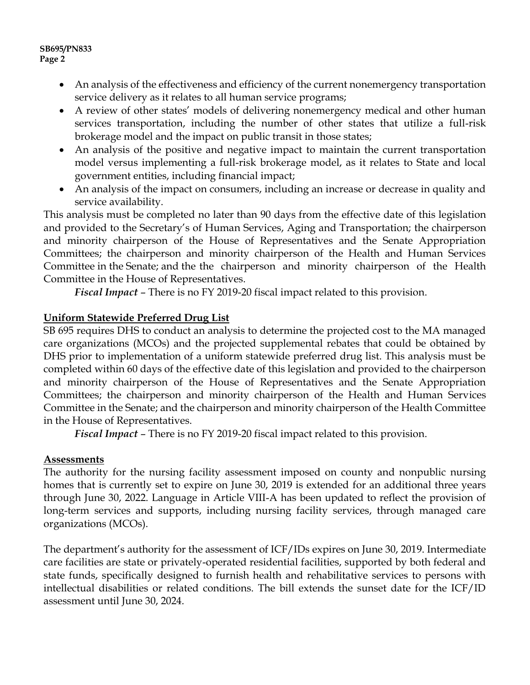#### **SB695/PN833 Page 2**

- An analysis of the effectiveness and efficiency of the current nonemergency transportation service delivery as it relates to all human service programs;
- A review of other states' models of delivering nonemergency medical and other human services transportation, including the number of other states that utilize a full-risk brokerage model and the impact on public transit in those states;
- An analysis of the positive and negative impact to maintain the current transportation model versus implementing a full-risk brokerage model, as it relates to State and local government entities, including financial impact;
- An analysis of the impact on consumers, including an increase or decrease in quality and service availability.

This analysis must be completed no later than 90 days from the effective date of this legislation and provided to the Secretary's of Human Services, Aging and Transportation; the chairperson and minority chairperson of the House of Representatives and the Senate Appropriation Committees; the chairperson and minority chairperson of the Health and Human Services Committee in the Senate; and the the chairperson and minority chairperson of the Health Committee in the House of Representatives.

*Fiscal Impact* – There is no FY 2019-20 fiscal impact related to this provision.

# **Uniform Statewide Preferred Drug List**

SB 695 requires DHS to conduct an analysis to determine the projected cost to the MA managed care organizations (MCOs) and the projected supplemental rebates that could be obtained by DHS prior to implementation of a uniform statewide preferred drug list. This analysis must be completed within 60 days of the effective date of this legislation and provided to the chairperson and minority chairperson of the House of Representatives and the Senate Appropriation Committees; the chairperson and minority chairperson of the Health and Human Services Committee in the Senate; and the chairperson and minority chairperson of the Health Committee in the House of Representatives.

*Fiscal Impact* – There is no FY 2019-20 fiscal impact related to this provision.

### **Assessments**

The authority for the nursing facility assessment imposed on county and nonpublic nursing homes that is currently set to expire on June 30, 2019 is extended for an additional three years through June 30, 2022. Language in Article VIII-A has been updated to reflect the provision of long-term services and supports, including nursing facility services, through managed care organizations (MCOs).

The department's authority for the assessment of ICF/IDs expires on June 30, 2019. Intermediate care facilities are state or privately-operated residential facilities, supported by both federal and state funds, specifically designed to furnish health and rehabilitative services to persons with intellectual disabilities or related conditions. The bill extends the sunset date for the ICF/ID assessment until June 30, 2024.